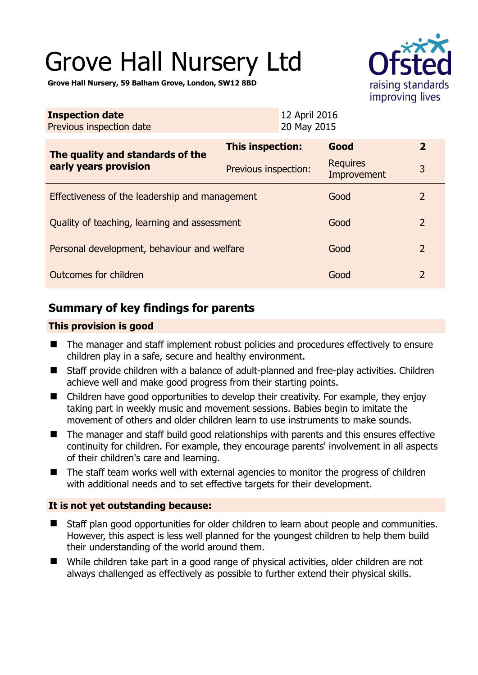# Grove Hall Nursery Ltd



**Grove Hall Nursery, 59 Balham Grove, London, SW12 8BD** 

| <b>Inspection date</b><br>Previous inspection date        |                      | 12 April 2016<br>20 May 2015 |                                |                |
|-----------------------------------------------------------|----------------------|------------------------------|--------------------------------|----------------|
| The quality and standards of the<br>early years provision | This inspection:     |                              | Good                           | $\overline{2}$ |
|                                                           | Previous inspection: |                              | <b>Requires</b><br>Improvement | 3              |
| Effectiveness of the leadership and management            |                      |                              | Good                           | 2              |
| Quality of teaching, learning and assessment              |                      |                              | Good                           | $\overline{2}$ |
| Personal development, behaviour and welfare               |                      |                              | Good                           | $\overline{2}$ |
| Outcomes for children                                     |                      |                              | Good                           | $\overline{2}$ |

# **Summary of key findings for parents**

#### **This provision is good**

- The manager and staff implement robust policies and procedures effectively to ensure children play in a safe, secure and healthy environment.
- Staff provide children with a balance of adult-planned and free-play activities. Children achieve well and make good progress from their starting points.
- Children have good opportunities to develop their creativity. For example, they enjoy taking part in weekly music and movement sessions. Babies begin to imitate the movement of others and older children learn to use instruments to make sounds.
- The manager and staff build good relationships with parents and this ensures effective continuity for children. For example, they encourage parents' involvement in all aspects of their children's care and learning.
- The staff team works well with external agencies to monitor the progress of children with additional needs and to set effective targets for their development.

#### **It is not yet outstanding because:**

- Staff plan good opportunities for older children to learn about people and communities. However, this aspect is less well planned for the youngest children to help them build their understanding of the world around them.
- While children take part in a good range of physical activities, older children are not always challenged as effectively as possible to further extend their physical skills.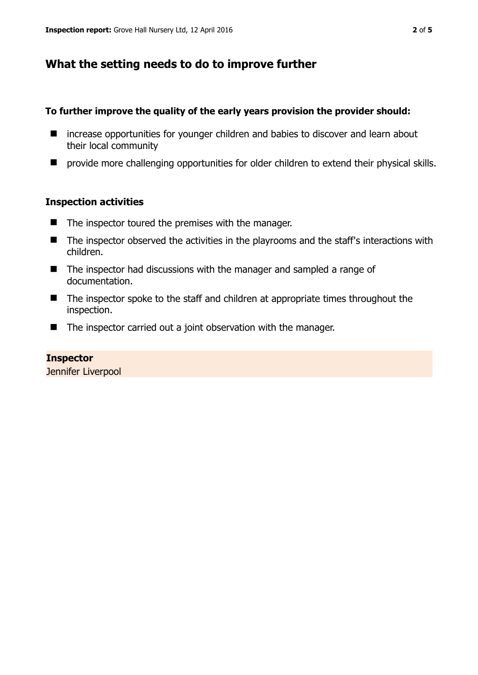# **What the setting needs to do to improve further**

## **To further improve the quality of the early years provision the provider should:**

- increase opportunities for younger children and babies to discover and learn about their local community
- **P** provide more challenging opportunities for older children to extend their physical skills.

## **Inspection activities**

- $\blacksquare$  The inspector toured the premises with the manager.
- The inspector observed the activities in the playrooms and the staff's interactions with children.
- The inspector had discussions with the manager and sampled a range of documentation.
- The inspector spoke to the staff and children at appropriate times throughout the inspection.
- The inspector carried out a joint observation with the manager.

## **Inspector**  Jennifer Liverpool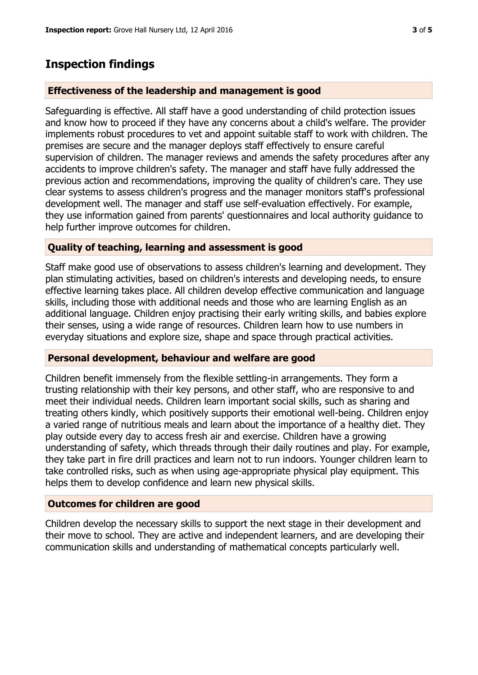## **Inspection findings**

#### **Effectiveness of the leadership and management is good**

Safeguarding is effective. All staff have a good understanding of child protection issues and know how to proceed if they have any concerns about a child's welfare. The provider implements robust procedures to vet and appoint suitable staff to work with children. The premises are secure and the manager deploys staff effectively to ensure careful supervision of children. The manager reviews and amends the safety procedures after any accidents to improve children's safety. The manager and staff have fully addressed the previous action and recommendations, improving the quality of children's care. They use clear systems to assess children's progress and the manager monitors staff's professional development well. The manager and staff use self-evaluation effectively. For example, they use information gained from parents' questionnaires and local authority guidance to help further improve outcomes for children.

#### **Quality of teaching, learning and assessment is good**

Staff make good use of observations to assess children's learning and development. They plan stimulating activities, based on children's interests and developing needs, to ensure effective learning takes place. All children develop effective communication and language skills, including those with additional needs and those who are learning English as an additional language. Children enjoy practising their early writing skills, and babies explore their senses, using a wide range of resources. Children learn how to use numbers in everyday situations and explore size, shape and space through practical activities.

#### **Personal development, behaviour and welfare are good**

Children benefit immensely from the flexible settling-in arrangements. They form a trusting relationship with their key persons, and other staff, who are responsive to and meet their individual needs. Children learn important social skills, such as sharing and treating others kindly, which positively supports their emotional well-being. Children enjoy a varied range of nutritious meals and learn about the importance of a healthy diet. They play outside every day to access fresh air and exercise. Children have a growing understanding of safety, which threads through their daily routines and play. For example, they take part in fire drill practices and learn not to run indoors. Younger children learn to take controlled risks, such as when using age-appropriate physical play equipment. This helps them to develop confidence and learn new physical skills.

#### **Outcomes for children are good**

Children develop the necessary skills to support the next stage in their development and their move to school. They are active and independent learners, and are developing their communication skills and understanding of mathematical concepts particularly well.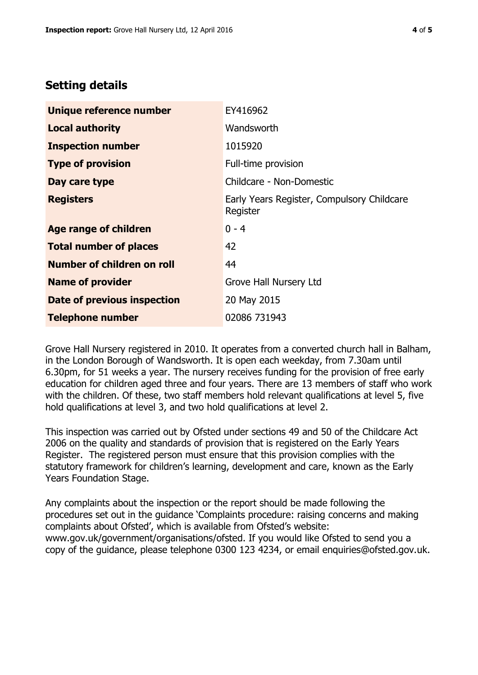# **Setting details**

| Unique reference number           | EY416962                                               |  |
|-----------------------------------|--------------------------------------------------------|--|
| <b>Local authority</b>            | Wandsworth                                             |  |
| <b>Inspection number</b>          | 1015920                                                |  |
| <b>Type of provision</b>          | Full-time provision                                    |  |
| Day care type                     | Childcare - Non-Domestic                               |  |
| <b>Registers</b>                  | Early Years Register, Compulsory Childcare<br>Register |  |
| <b>Age range of children</b>      | $0 - 4$                                                |  |
| <b>Total number of places</b>     | 42                                                     |  |
| <b>Number of children on roll</b> | 44                                                     |  |
| <b>Name of provider</b>           | Grove Hall Nursery Ltd                                 |  |
| Date of previous inspection       | 20 May 2015                                            |  |
| <b>Telephone number</b>           | 02086 731943                                           |  |

Grove Hall Nursery registered in 2010. It operates from a converted church hall in Balham, in the London Borough of Wandsworth. It is open each weekday, from 7.30am until 6.30pm, for 51 weeks a year. The nursery receives funding for the provision of free early education for children aged three and four years. There are 13 members of staff who work with the children. Of these, two staff members hold relevant qualifications at level 5, five hold qualifications at level 3, and two hold qualifications at level 2.

This inspection was carried out by Ofsted under sections 49 and 50 of the Childcare Act 2006 on the quality and standards of provision that is registered on the Early Years Register. The registered person must ensure that this provision complies with the statutory framework for children's learning, development and care, known as the Early Years Foundation Stage.

Any complaints about the inspection or the report should be made following the procedures set out in the guidance 'Complaints procedure: raising concerns and making complaints about Ofsted', which is available from Ofsted's website: www.gov.uk/government/organisations/ofsted. If you would like Ofsted to send you a copy of the guidance, please telephone 0300 123 4234, or email enquiries@ofsted.gov.uk.